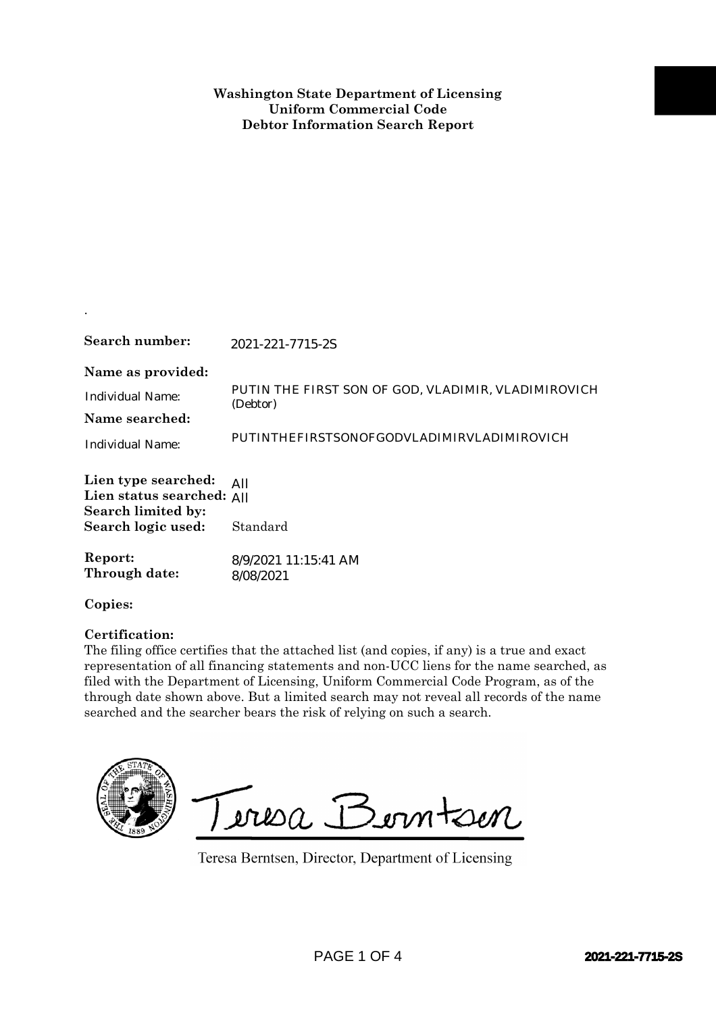| Search number:                                                                               | 2021-221-7715-2S                                                                                                                                                                                                                                                                                                                                                                                                                              |                  |
|----------------------------------------------------------------------------------------------|-----------------------------------------------------------------------------------------------------------------------------------------------------------------------------------------------------------------------------------------------------------------------------------------------------------------------------------------------------------------------------------------------------------------------------------------------|------------------|
| Name as provided:<br><b>Individual Name:</b><br>Name searched:<br><b>Individual Name:</b>    | PUTIN THE FIRST SON OF GOD, VLADIMIR, VLADIMIROVICH<br>(Debtor)<br>PUTINTHEFIRSTSONOFGODVLADIMIRVLADIMIROVICH                                                                                                                                                                                                                                                                                                                                 |                  |
| Lien type searched:<br>Lien status searched: All<br>Search limited by:<br>Search logic used: | All<br>Standard                                                                                                                                                                                                                                                                                                                                                                                                                               |                  |
| Report:<br>Through date:                                                                     | 8/9/2021 11:15:41 AM<br>8/08/2021                                                                                                                                                                                                                                                                                                                                                                                                             |                  |
| Copies:                                                                                      |                                                                                                                                                                                                                                                                                                                                                                                                                                               |                  |
| Certification:                                                                               | The filing office certifies that the attached list (and copies, if any) is a true and exact<br>representation of all financing statements and non-UCC liens for the name searched, as<br>filed with the Department of Licensing, Uniform Commercial Code Program, as of the<br>through date shown above. But a limited search may not reveal all records of the name<br>searched and the searcher bears the risk of relying on such a search. |                  |
|                                                                                              | Teresa Berntsen<br>Teresa Berntsen, Director, Department of Licensing                                                                                                                                                                                                                                                                                                                                                                         |                  |
|                                                                                              | PAGE 1 OF 4                                                                                                                                                                                                                                                                                                                                                                                                                                   | 2021-221-7715-2S |

.

## **Certification:**

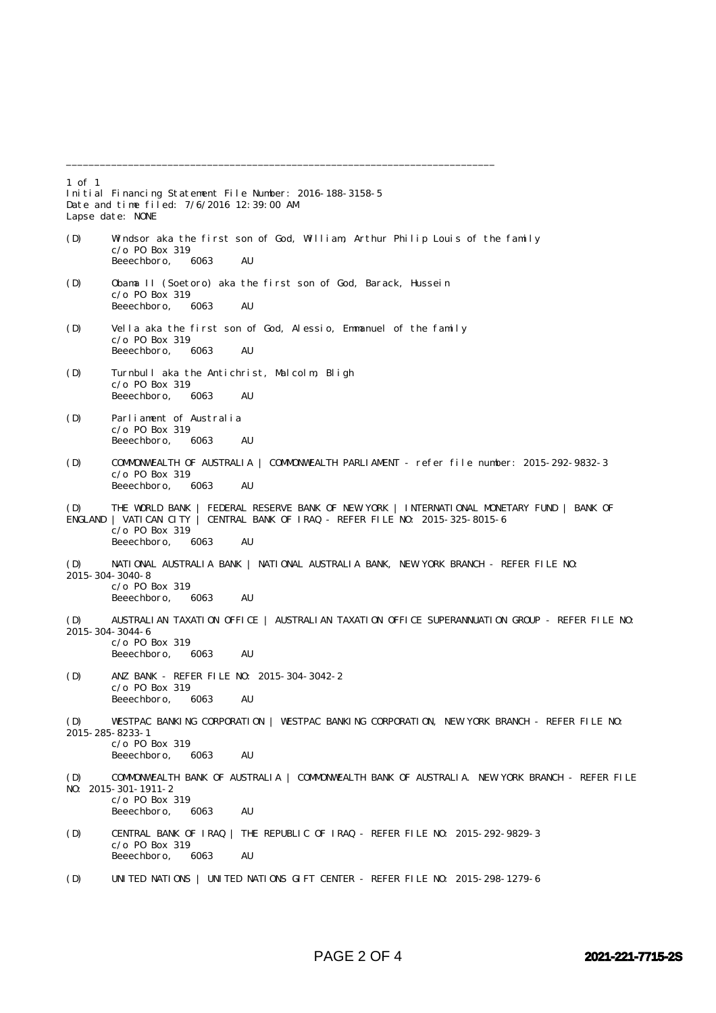1 of 1 Initial Financing Statement File Number: 2016-188-3158-5 Date and time filed: 7/6/2016 12:39:00 AM Lapse date: NONE (D) Windsor aka the first son of God, William, Arthur Philip Louis of the family  $c$ /o P0 Box 319<br>Beeechboro. 6063 Beeechboro, 6063 AU (D) Obama II (Soetoro) aka the first son of God, Barack, Hussein c/o PO Box 319 Beeechboro, 6063 AU (D) Vella aka the first son of God, Alessio, Emmanuel of the family  $c$ /o PO Box 319<br>Beeechboro. 6063 Beeechboro, 6063 AU (D) Turnbull aka the Antichrist, Malcolm, Bligh  $c$ /o P0 Box 319<br>Beeechboro. 6063 Beeechboro, 6063 AU (D) Parliament of Australia  $c$ /o PO Box 319<br>Beeechboro 6063 Beeechboro, 6063 AU (D) COMMONWEALTH OF AUSTRALIA | COMMONWEALTH PARLIAMENT - refer file number: 2015-292-9832-3 c/o PO Box 319 Beeechboro, 6063 AU (D) THE WORLD BANK | FEDERAL RESERVE BANK OF NEW YORK | INTERNATIONAL MONETARY FUND | BANK OF ENGLAND | VATICAN CITY | CENTRAL BANK OF IRAQ - REFER FILE NO: 2015-325-8015-6  $c$ /o PO Box 319<br>Beeechboro 6063 Beeechboro, 6063 AU (D) NATIONAL AUSTRALIA BANK | NATIONAL AUSTRALIA BANK, NEW YORK BRANCH - REFER FILE NO: 2015-304-3040-8 c/o PO Box 319 Beeechboro, 6063 AU (D) AUSTRALIAN TAXATION OFFICE | AUSTRALIAN TAXATION OFFICE SUPERANNUATION GROUP - REFER FILE NO: 2015-304-3044-6  $c$ /o PO Box 319 Beeechboro, 6063 AU (D) ANZ BANK - REFER FILE NO: 2015-304-3042-2 c/o PO Box 319 Beeechboro, 6063 AU (D) WESTPAC BANKING CORPORATION | WESTPAC BANKING CORPORATION, NEW YORK BRANCH - REFER FILE NO: 2015-285-8233-1 c/o PO Box 319 Beeechboro, 6063 AU (D) COMMONWEALTH BANK OF AUSTRALIA | COMMONWEALTH BANK OF AUSTRALIA. NEW YORK BRANCH - REFER FILE NO: 2015-301-1911-2  $c$ /o P0 Box 319<br>Beeechboro, 6063 Beeechboro, 6063 AU (D) CENTRAL BANK OF IRAQ | THE REPUBLIC OF IRAQ - REFER FILE NO: 2015-292-9829-3 c/o PO Box 319 Beeechboro, 6063 AU (D) UNITED NATIONS | UNITED NATIONS GIFT CENTER - REFER FILE NO: 2015-298-1279-6

\_\_\_\_\_\_\_\_\_\_\_\_\_\_\_\_\_\_\_\_\_\_\_\_\_\_\_\_\_\_\_\_\_\_\_\_\_\_\_\_\_\_\_\_\_\_\_\_\_\_\_\_\_\_\_\_\_\_\_\_\_\_\_\_\_\_\_\_\_\_\_\_\_\_\_\_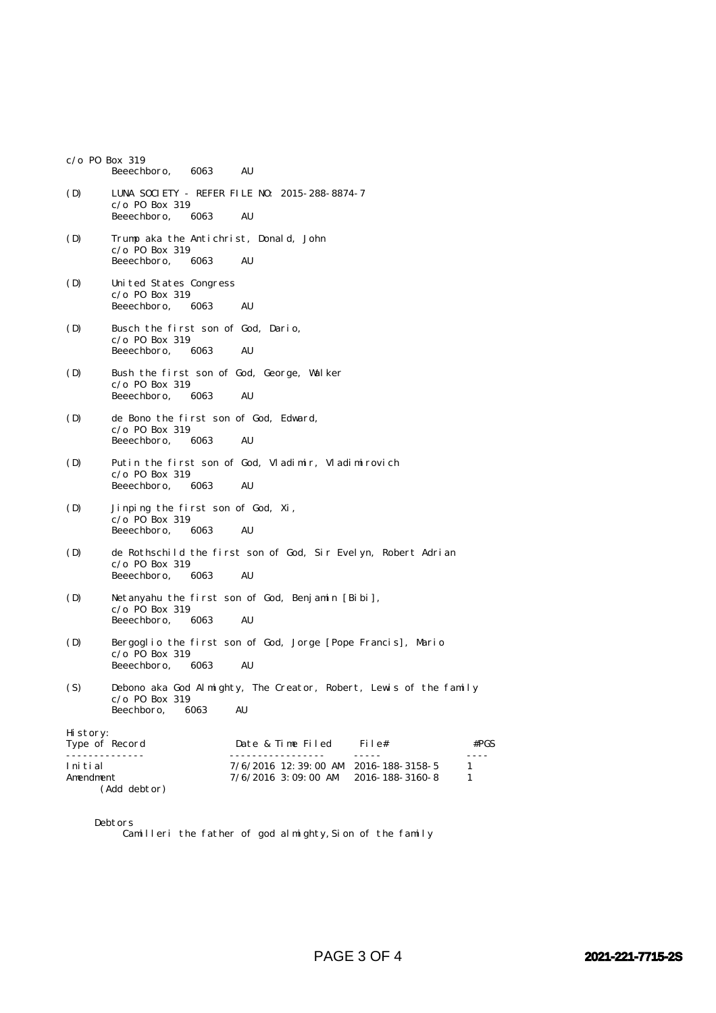|                           | $c$ /o P0 Box 319<br>Beeechboro,<br>6063<br>AU                                                                      |
|---------------------------|---------------------------------------------------------------------------------------------------------------------|
| (D)                       | LUNA SOCIETY - REFER FILE NO: 2015-288-8874-7<br>$c$ /o P0 Box 319<br>Beeechboro,<br>6063<br>AU                     |
| (D)                       | Trump aka the Antichrist, Donald, John<br>$c/o$ PO Box 319<br>Beeechboro,<br>6063<br>AU                             |
| (D)                       | United States Congress<br>$c/o$ PO Box 319<br>Beeechboro,<br>AU<br>6063                                             |
| (D)                       | Busch the first son of God, Dario,<br>$c$ /o P0 Box 319<br>Beeechboro,<br>AU<br>6063                                |
| (D)                       | Bush the first son of God, George, Walker<br>$c$ /o P0 Box 319<br>Beeechboro,<br>AU<br>6063                         |
| (D)                       | de Bono the first son of God, Edward,<br>$c/o$ PO Box 319<br>Beeechboro,<br>6063<br>AU                              |
| (D)                       | Putin the first son of God, Vladimir, Vladimirovich<br>$c/o$ PO Box 319<br>Beeechboro,<br>AU<br>6063                |
| (D)                       | Jinping the first son of God, Xi,<br>$c/o$ PO Box 319<br>AU<br>Beeechboro,<br>6063                                  |
| (D)                       | de Rothschild the first son of God, Sir Evelyn, Robert Adrian<br>$c/o$ PO Box 319<br>Beeechboro,<br>6063<br>AU      |
| (D)                       | Netanyahu the first son of God, Benjamin [Bibi],<br>$c$ /o P0 Box 319<br>Beeechboro,<br>6063<br>AU                  |
| (D)                       | Bergoglio the first son of God, Jorge [Pope Francis], Mario<br>$c/o$ PO Box 319<br>Beeechboro,<br>6063<br>AU        |
| (S)                       | Debono aka God Almighty, The Creator, Robert, Lewis of the family<br>$c/o$ PO Box 319<br>Beechboro,<br>AU<br>6063   |
| Hi story:                 | Type of Record<br>Date & Time Filed<br>File#<br>#PGS                                                                |
| .<br>Initial<br>Amendment | -----<br>7/6/2016 12:39:00 AM 2016-188-3158-5<br>1<br>$7/6/2016$ 3:09:00 AM<br>2016-188-3160-8<br>1<br>(Add debtor) |

Debtors

Camilleri the father of god almighty, Sion of the family